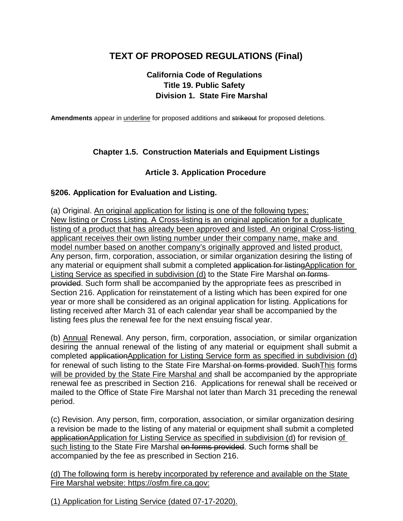# **TEXT OF PROPOSED REGULATIONS (Final)**

## **California Code of Regulations Title 19. Public Safety Division 1. State Fire Marshal**

**Amendments** appear in underline for proposed additions and strikeout for proposed deletions.

## **Chapter 1.5. Construction Materials and Equipment Listings**

#### **Article 3. Application Procedure**

#### **§206. Application for Evaluation and Listing.**

(a) Original. An original application for listing is one of the following types: New listing or Cross Listing. A Cross-listing is an original application for a duplicate listing of a product that has already been approved and listed. An original Cross-listing applicant receives their own listing number under their company name, make and model number based on another company's originally approved and listed product. Any person, firm, corporation, association, or similar organization desiring the listing of any material or equipment shall submit a completed application for listingApplication for Listing Service as specified in subdivision (d) to the State Fire Marshal on formsprovided. Such form shall be accompanied by the appropriate fees as prescribed in Section 216. Application for reinstatement of a listing which has been expired for one year or more shall be considered as an original application for listing. Applications for listing received after March 31 of each calendar year shall be accompanied by the listing fees plus the renewal fee for the next ensuing fiscal year.

(b) Annual Renewal. Any person, firm, corporation, association, or similar organization desiring the annual renewal of the listing of any material or equipment shall submit a completed applicationApplication for Listing Service form as specified in subdivision (d) for renewal of such listing to the State Fire Marshal on forms provided. Such This forms will be provided by the State Fire Marshal and shall be accompanied by the appropriate renewal fee as prescribed in Section 216. Applications for renewal shall be received or mailed to the Office of State Fire Marshal not later than March 31 preceding the renewal period.

(c) Revision. Any person, firm, corporation, association, or similar organization desiring a revision be made to the listing of any material or equipment shall submit a completed applicationApplication for Listing Service as specified in subdivision (d) for revision of such listing to the State Fire Marshal on forms provided. Such forms shall be accompanied by the fee as prescribed in Section 216.

(d) The following form is hereby incorporated by reference and available on the State Fire Marshal website: https://osfm.fire.ca.gov:

(1) Application for Listing Service (dated 07-17-2020).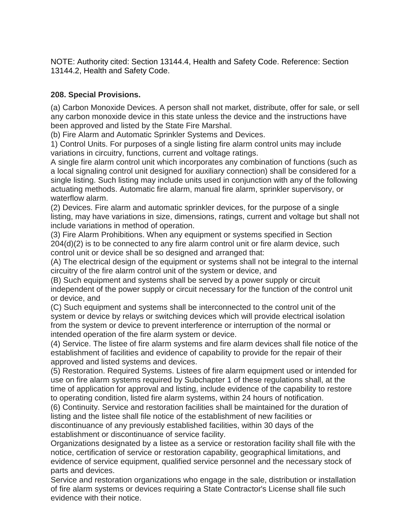NOTE: Authority cited: Section 13144.4, Health and Safety Code. Reference: Section 13144.2, Health and Safety Code.

### **208. Special Provisions.**

(a) Carbon Monoxide Devices. A person shall not market, distribute, offer for sale, or sell any carbon monoxide device in this state unless the device and the instructions have been approved and listed by the State Fire Marshal.

(b) Fire Alarm and Automatic Sprinkler Systems and Devices.

1) Control Units. For purposes of a single listing fire alarm control units may include variations in circuitry, functions, current and voltage ratings.

A single fire alarm control unit which incorporates any combination of functions (such as a local signaling control unit designed for auxiliary connection) shall be considered for a single listing. Such listing may include units used in conjunction with any of the following actuating methods. Automatic fire alarm, manual fire alarm, sprinkler supervisory, or waterflow alarm.

(2) Devices. Fire alarm and automatic sprinkler devices, for the purpose of a single listing, may have variations in size, dimensions, ratings, current and voltage but shall not include variations in method of operation.

(3) Fire Alarm Prohibitions. When any equipment or systems specified in Section 204(d)(2) is to be connected to any fire alarm control unit or fire alarm device, such control unit or device shall be so designed and arranged that:

(A) The electrical design of the equipment or systems shall not be integral to the internal circuitry of the fire alarm control unit of the system or device, and

(B) Such equipment and systems shall be served by a power supply or circuit independent of the power supply or circuit necessary for the function of the control unit or device, and

(C) Such equipment and systems shall be interconnected to the control unit of the system or device by relays or switching devices which will provide electrical isolation from the system or device to prevent interference or interruption of the normal or intended operation of the fire alarm system or device.

(4) Service. The listee of fire alarm systems and fire alarm devices shall file notice of the establishment of facilities and evidence of capability to provide for the repair of their approved and listed systems and devices.

(5) Restoration. Required Systems. Listees of fire alarm equipment used or intended for use on fire alarm systems required by Subchapter 1 of these regulations shall, at the time of application for approval and listing, include evidence of the capability to restore to operating condition, listed fire alarm systems, within 24 hours of notification.

(6) Continuity. Service and restoration facilities shall be maintained for the duration of listing and the listee shall file notice of the establishment of new facilities or discontinuance of any previously established facilities, within 30 days of the establishment or discontinuance of service facility.

Organizations designated by a listee as a service or restoration facility shall file with the notice, certification of service or restoration capability, geographical limitations, and evidence of service equipment, qualified service personnel and the necessary stock of parts and devices.

Service and restoration organizations who engage in the sale, distribution or installation of fire alarm systems or devices requiring a State Contractor's License shall file such evidence with their notice.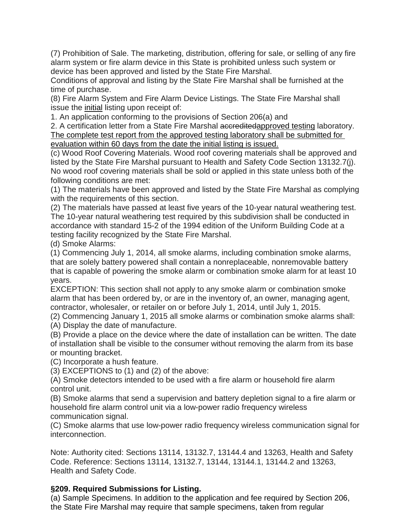(7) Prohibition of Sale. The marketing, distribution, offering for sale, or selling of any fire alarm system or fire alarm device in this State is prohibited unless such system or device has been approved and listed by the State Fire Marshal.

Conditions of approval and listing by the State Fire Marshal shall be furnished at the time of purchase.

(8) Fire Alarm System and Fire Alarm Device Listings. The State Fire Marshal shall issue the initial listing upon receipt of:

1. An application conforming to the provisions of Section 206(a) and

2. A certification letter from a State Fire Marshal accreditedapproved testing laboratory. The complete test report from the approved testing laboratory shall be submitted for evaluation within 60 days from the date the initial listing is issued.

(c) Wood Roof Covering Materials. Wood roof covering materials shall be approved and listed by the State Fire Marshal pursuant to Health and Safety Code Section 13132.7(j). No wood roof covering materials shall be sold or applied in this state unless both of the following conditions are met:

(1) The materials have been approved and listed by the State Fire Marshal as complying with the requirements of this section.

(2) The materials have passed at least five years of the 10-year natural weathering test. The 10-year natural weathering test required by this subdivision shall be conducted in accordance with standard 15-2 of the 1994 edition of the Uniform Building Code at a testing facility recognized by the State Fire Marshal.

(d) Smoke Alarms:

(1) Commencing July 1, 2014, all smoke alarms, including combination smoke alarms, that are solely battery powered shall contain a nonreplaceable, nonremovable battery that is capable of powering the smoke alarm or combination smoke alarm for at least 10 years.

EXCEPTION: This section shall not apply to any smoke alarm or combination smoke alarm that has been ordered by, or are in the inventory of, an owner, managing agent, contractor, wholesaler, or retailer on or before July 1, 2014, until July 1, 2015.

(2) Commencing January 1, 2015 all smoke alarms or combination smoke alarms shall: (A) Display the date of manufacture.

(B) Provide a place on the device where the date of installation can be written. The date of installation shall be visible to the consumer without removing the alarm from its base or mounting bracket.

(C) Incorporate a hush feature.

(3) EXCEPTIONS to (1) and (2) of the above:

(A) Smoke detectors intended to be used with a fire alarm or household fire alarm control unit.

(B) Smoke alarms that send a supervision and battery depletion signal to a fire alarm or household fire alarm control unit via a low-power radio frequency wireless communication signal.

(C) Smoke alarms that use low-power radio frequency wireless communication signal for interconnection.

Note: Authority cited: Sections 13114, 13132.7, 13144.4 and 13263, Health and Safety Code. Reference: Sections 13114, 13132.7, 13144, 13144.1, 13144.2 and 13263, Health and Safety Code.

## **§209. Required Submissions for Listing.**

(a) Sample Specimens. In addition to the application and fee required by Section 206, the State Fire Marshal may require that sample specimens, taken from regular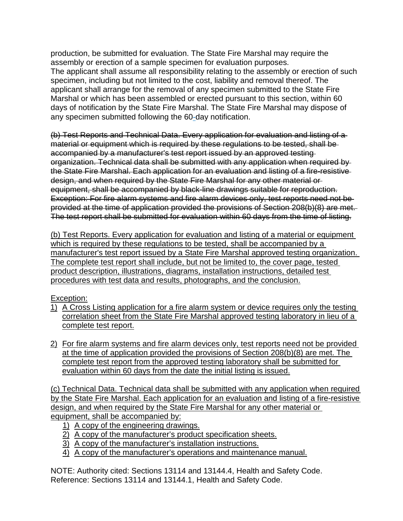production, be submitted for evaluation. The State Fire Marshal may require the assembly or erection of a sample specimen for evaluation purposes. The applicant shall assume all responsibility relating to the assembly or erection of such specimen, including but not limited to the cost, liability and removal thereof. The applicant shall arrange for the removal of any specimen submitted to the State Fire Marshal or which has been assembled or erected pursuant to this section, within 60 days of notification by the State Fire Marshal. The State Fire Marshal may dispose of any specimen submitted following the 60-day notification.

(b) Test Reports and Technical Data. Every application for evaluation and listing of a material or equipment which is required by these regulations to be tested, shall be accompanied by a manufacturer's test report issued by an approved testing organization. Technical data shall be submitted with any application when required by the State Fire Marshal. Each application for an evaluation and listing of a fire-resistive design, and when required by the State Fire Marshal for any other material or equipment, shall be accompanied by black-line drawings suitable for reproduction. Exception: For fire alarm systems and fire alarm devices only, test reports need not be provided at the time of application provided the provisions of Section 208(b)(8) are met. The test report shall be submitted for evaluation within 60 days from the time of listing.

(b) Test Reports. Every application for evaluation and listing of a material or equipment which is required by these regulations to be tested, shall be accompanied by a manufacturer's test report issued by a State Fire Marshal approved testing organization. The complete test report shall include, but not be limited to, the cover page, tested product description, illustrations, diagrams, installation instructions, detailed test procedures with test data and results, photographs, and the conclusion.

## Exception:

- 1) A Cross Listing application for a fire alarm system or device requires only the testing correlation sheet from the State Fire Marshal approved testing laboratory in lieu of a complete test report.
- 2) For fire alarm systems and fire alarm devices only, test reports need not be provided at the time of application provided the provisions of Section 208(b)(8) are met. The complete test report from the approved testing laboratory shall be submitted for evaluation within 60 days from the date the initial listing is issued.

(c) Technical Data. Technical data shall be submitted with any application when required by the State Fire Marshal. Each application for an evaluation and listing of a fire-resistive design, and when required by the State Fire Marshal for any other material or equipment, shall be accompanied by:

- 1) A copy of the engineering drawings.
- 2) A copy of the manufacturer's product specification sheets.
- 3) A copy of the manufacturer's installation instructions.
- 4) A copy of the manufacturer's operations and maintenance manual.

NOTE: Authority cited: Sections 13114 and 13144.4, Health and Safety Code. Reference: Sections 13114 and 13144.1, Health and Safety Code.